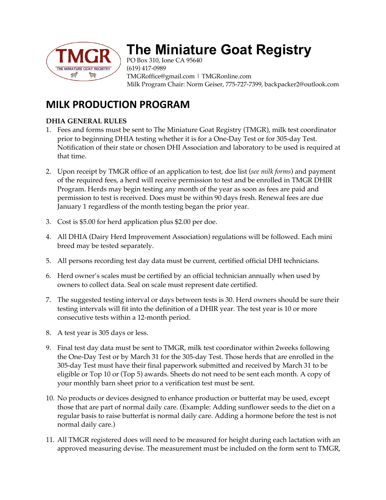

# **The Miniature Goat Registry**

PO Box 310, Ione CA 95640 (619) 417-0989 TMGRoffice@gmail.com | TMGRonline.com Milk Program Chair: Norm Geiser, 775-727-7399, backpacker2@outlook.com

# **MILK PRODUCTION PROGRAM**

## **DHIA GENERAL RULES**

- 1. Fees and forms must be sent to The Miniature Goat Registry (TMGR), milk test coordinator prior to beginning DHIA testing whether it is for a One-Day Test or for 305-day Test. Notification of their state or chosen DHI Association and laboratory to be used is required at that time.
- 2. Upon receipt by TMGR office of an application to test, doe list (*see milk forms*) and payment of the required fees, a herd will receive permission to test and be enrolled in TMGR DHIR Program. Herds may begin testing any month of the year as soon as fees are paid and permission to test is received. Does must be within 90 days fresh. Renewal fees are due January 1 regardless of the month testing began the prior year.
- 3. Cost is \$5.00 for herd application plus \$2.00 per doe.
- 4. All DHIA (Dairy Herd Improvement Association) regulations will be followed. Each mini breed may be tested separately.
- 5. All persons recording test day data must be current, certified official DHI technicians.
- 6. Herd owner's scales must be certified by an official technician annually when used by owners to collect data. Seal on scale must represent date certified.
- 7. The suggested testing interval or days between tests is 30. Herd owners should be sure their testing intervals will fit into the definition of a DHIR year. The test year is 10 or more consecutive tests within a 12-month period.
- 8. A test year is 305 days or less.
- 9. Final test day data must be sent to TMGR, milk test coordinator within 2weeks following the One-Day Test or by March 31 for the 305-day Test. Those herds that are enrolled in the 305-day Test must have their final paperwork submitted and received by March 31 to be eligible or Top 10 or (Top 5) awards. Sheets do not need to be sent each month. A copy of your monthly barn sheet prior to a verification test must be sent.
- 10. No products or devices designed to enhance production or butterfat may be used, except those that are part of normal daily care. (Example: Adding sunflower seeds to the diet on a regular basis to raise butterfat is normal daily care. Adding a hormone before the test is not normal daily care.)
- 11. All TMGR registered does will need to be measured for height during each lactation with an approved measuring devise. The measurement must be included on the form sent to TMGR,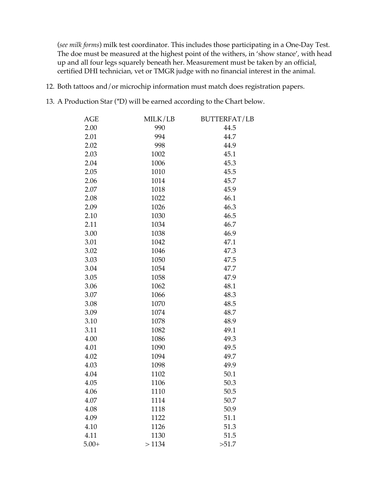(*see milk forms*) milk test coordinator. This includes those participating in a One-Day Test. The doe must be measured at the highest point of the withers, in 'show stance', with head up and all four legs squarely beneath her. Measurement must be taken by an official, certified DHI technician, vet or TMGR judge with no financial interest in the animal.

- 12. Both tattoos and/or microchip information must match does registration papers.
- 13. A Production Star (\*D) will be earned according to the Chart below.

| AGE     | MILK/LB | <b>BUTTERFAT/LB</b> |
|---------|---------|---------------------|
| 2.00    | 990     | 44.5                |
| 2.01    | 994     | 44.7                |
| 2.02    | 998     | 44.9                |
| 2.03    | 1002    | 45.1                |
| 2.04    | 1006    | 45.3                |
| 2.05    | 1010    | 45.5                |
| 2.06    | 1014    | 45.7                |
| 2.07    | 1018    | 45.9                |
| 2.08    | 1022    | 46.1                |
| 2.09    | 1026    | 46.3                |
| 2.10    | 1030    | 46.5                |
| 2.11    | 1034    | 46.7                |
| 3.00    | 1038    | 46.9                |
| 3.01    | 1042    | 47.1                |
| 3.02    | 1046    | 47.3                |
| 3.03    | 1050    | 47.5                |
| 3.04    | 1054    | 47.7                |
| 3.05    | 1058    | 47.9                |
| 3.06    | 1062    | 48.1                |
| 3.07    | 1066    | 48.3                |
| 3.08    | 1070    | 48.5                |
| 3.09    | 1074    | 48.7                |
| 3.10    | 1078    | 48.9                |
| 3.11    | 1082    | 49.1                |
| 4.00    | 1086    | 49.3                |
| 4.01    | 1090    | 49.5                |
| 4.02    | 1094    | 49.7                |
| 4.03    | 1098    | 49.9                |
| 4.04    | 1102    | 50.1                |
| 4.05    | 1106    | 50.3                |
| 4.06    | 1110    | 50.5                |
| 4.07    | 1114    | 50.7                |
| 4.08    | 1118    | 50.9                |
| 4.09    | 1122    | 51.1                |
| 4.10    | 1126    | 51.3                |
| 4.11    | 1130    | 51.5                |
| $5.00+$ | >1134   | >51.7               |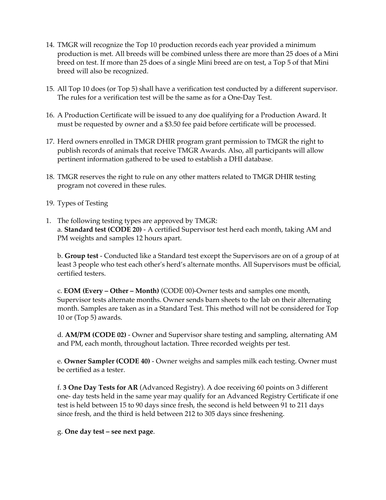- 14. TMGR will recognize the Top 10 production records each year provided a minimum production is met. All breeds will be combined unless there are more than 25 does of a Mini breed on test. If more than 25 does of a single Mini breed are on test, a Top 5 of that Mini breed will also be recognized.
- 15. All Top 10 does (or Top 5) shall have a verification test conducted by a different supervisor. The rules for a verification test will be the same as for a One-Day Test.
- 16. A Production Certificate will be issued to any doe qualifying for a Production Award. It must be requested by owner and a \$3.50 fee paid before certificate will be processed.
- 17. Herd owners enrolled in TMGR DHIR program grant permission to TMGR the right to publish records of animals that receive TMGR Awards. Also, all participants will allow pertinent information gathered to be used to establish a DHI database.
- 18. TMGR reserves the right to rule on any other matters related to TMGR DHIR testing program not covered in these rules.
- 19. Types of Testing
- 1. The following testing types are approved by TMGR: a. **Standard test (CODE 20)** - A certified Supervisor test herd each month, taking AM and PM weights and samples 12 hours apart.

b. **Group test** - Conducted like a Standard test except the Supervisors are on of a group of at least 3 people who test each other's herd's alternate months. All Supervisors must be official, certified testers.

c. **EOM (Every – Other – Month)** (CODE 00)-Owner tests and samples one month, Supervisor tests alternate months. Owner sends barn sheets to the lab on their alternating month. Samples are taken as in a Standard Test. This method will not be considered for Top 10 or (Top 5) awards.

d. **AM/PM (CODE 02)** - Owner and Supervisor share testing and sampling, alternating AM and PM, each month, throughout lactation. Three recorded weights per test.

e. **Owner Sampler (CODE 40)** - Owner weighs and samples milk each testing. Owner must be certified as a tester.

f. **3 One Day Tests for AR** (Advanced Registry). A doe receiving 60 points on 3 different one- day tests held in the same year may qualify for an Advanced Registry Certificate if one test is held between 15 to 90 days since fresh, the second is held between 91 to 211 days since fresh, and the third is held between 212 to 305 days since freshening.

g. **One day test – see next page**.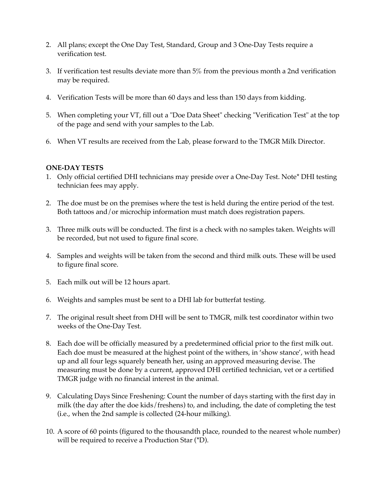- 2. All plans; except the One Day Test, Standard, Group and 3 One-Day Tests require a verification test.
- 3. If verification test results deviate more than 5% from the previous month a 2nd verification may be required.
- 4. Verification Tests will be more than 60 days and less than 150 days from kidding.
- 5. When completing your VT, fill out a "Doe Data Sheet" checking "Verification Test" at the top of the page and send with your samples to the Lab.
- 6. When VT results are received from the Lab, please forward to the TMGR Milk Director.

### **ONE-DAY TESTS**

- 1. Only official certified DHI technicians may preside over a One-Day Test. Note\* DHI testing technician fees may apply.
- 2. The doe must be on the premises where the test is held during the entire period of the test. Both tattoos and/or microchip information must match does registration papers.
- 3. Three milk outs will be conducted. The first is a check with no samples taken. Weights will be recorded, but not used to figure final score.
- 4. Samples and weights will be taken from the second and third milk outs. These will be used to figure final score.
- 5. Each milk out will be 12 hours apart.
- 6. Weights and samples must be sent to a DHI lab for butterfat testing.
- 7. The original result sheet from DHI will be sent to TMGR, milk test coordinator within two weeks of the One-Day Test.
- 8. Each doe will be officially measured by a predetermined official prior to the first milk out. Each doe must be measured at the highest point of the withers, in 'show stance', with head up and all four legs squarely beneath her, using an approved measuring devise. The measuring must be done by a current, approved DHI certified technician, vet or a certified TMGR judge with no financial interest in the animal.
- 9. Calculating Days Since Freshening: Count the number of days starting with the first day in milk (the day after the doe kids/freshens) to, and including, the date of completing the test (i.e., when the 2nd sample is collected (24-hour milking).
- 10. A score of 60 points (figured to the thousandth place, rounded to the nearest whole number) will be required to receive a Production Star (\*D).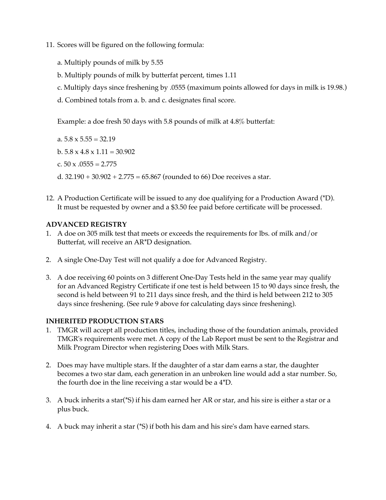- 11. Scores will be figured on the following formula:
	- a. Multiply pounds of milk by 5.55
	- b. Multiply pounds of milk by butterfat percent, times 1.11
	- c. Multiply days since freshening by .0555 (maximum points allowed for days in milk is 19.98.)
	- d. Combined totals from a. b. and c. designates final score.

Example: a doe fresh 50 days with 5.8 pounds of milk at 4.8% butterfat:

a.  $5.8 \times 5.55 = 32.19$ 

- b.  $5.8 \times 4.8 \times 1.11 = 30.902$
- c.  $50 \times 0.0555 = 2.775$

d.  $32.190 + 30.902 + 2.775 = 65.867$  (rounded to 66) Doe receives a star.

12. A Production Certificate will be issued to any doe qualifying for a Production Award (\*D). It must be requested by owner and a \$3.50 fee paid before certificate will be processed.

#### **ADVANCED REGISTRY**

- 1. A doe on 305 milk test that meets or exceeds the requirements for lbs. of milk and/or Butterfat, will receive an AR\*D designation.
- 2. A single One-Day Test will not qualify a doe for Advanced Registry.
- 3. A doe receiving 60 points on 3 different One-Day Tests held in the same year may qualify for an Advanced Registry Certificate if one test is held between 15 to 90 days since fresh, the second is held between 91 to 211 days since fresh, and the third is held between 212 to 305 days since freshening. (See rule 9 above for calculating days since freshening).

#### **INHERITED PRODUCTION STARS**

- 1. TMGR will accept all production titles, including those of the foundation animals, provided TMGR's requirements were met. A copy of the Lab Report must be sent to the Registrar and Milk Program Director when registering Does with Milk Stars.
- 2. Does may have multiple stars. If the daughter of a star dam earns a star, the daughter becomes a two star dam, each generation in an unbroken line would add a star number. So, the fourth doe in the line receiving a star would be a 4\*D.
- 3. A buck inherits a star(\*S) if his dam earned her AR or star, and his sire is either a star or a plus buck.
- 4. A buck may inherit a star (\*S) if both his dam and his sire's dam have earned stars.